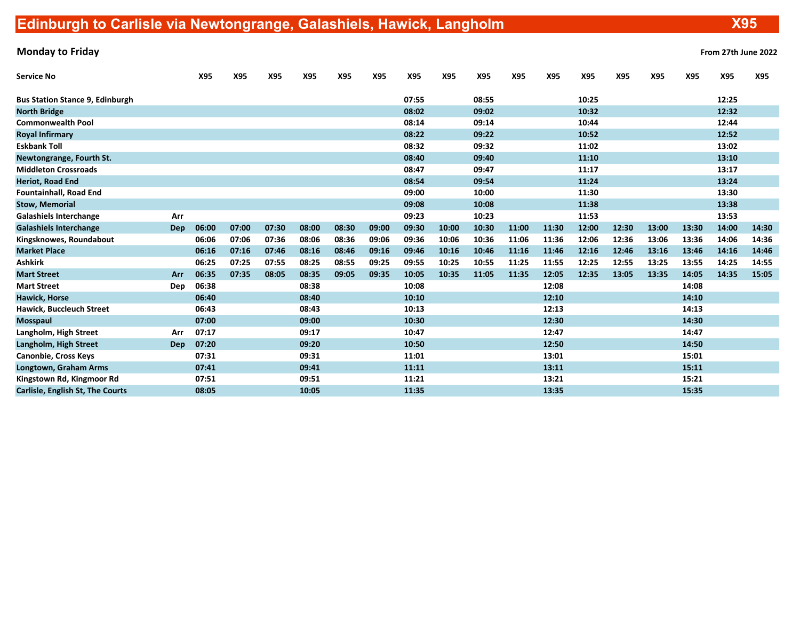| <b>Service No</b>                      |            | X95   | X95   | X95   | X95   | X95   | X95   | X95   | X95   | X95   | X95   | X95   | X95   | X95   | X95   | X95   | X95   | X95   |
|----------------------------------------|------------|-------|-------|-------|-------|-------|-------|-------|-------|-------|-------|-------|-------|-------|-------|-------|-------|-------|
| <b>Bus Station Stance 9, Edinburgh</b> |            |       |       |       |       |       |       | 07:55 |       | 08:55 |       |       | 10:25 |       |       |       | 12:25 |       |
| <b>North Bridge</b>                    |            |       |       |       |       |       |       | 08:02 |       | 09:02 |       |       | 10:32 |       |       |       | 12:32 |       |
| <b>Commonwealth Pool</b>               |            |       |       |       |       |       |       | 08:14 |       | 09:14 |       |       | 10:44 |       |       |       | 12:44 |       |
| <b>Royal Infirmary</b>                 |            |       |       |       |       |       |       | 08:22 |       | 09:22 |       |       | 10:52 |       |       |       | 12:52 |       |
| <b>Eskbank Toll</b>                    |            |       |       |       |       |       |       | 08:32 |       | 09:32 |       |       | 11:02 |       |       |       | 13:02 |       |
| Newtongrange, Fourth St.               |            |       |       |       |       |       |       | 08:40 |       | 09:40 |       |       | 11:10 |       |       |       | 13:10 |       |
| <b>Middleton Crossroads</b>            |            |       |       |       |       |       |       | 08:47 |       | 09:47 |       |       | 11:17 |       |       |       | 13:17 |       |
| <b>Heriot, Road End</b>                |            |       |       |       |       |       |       | 08:54 |       | 09:54 |       |       | 11:24 |       |       |       | 13:24 |       |
| <b>Fountainhall, Road End</b>          |            |       |       |       |       |       |       | 09:00 |       | 10:00 |       |       | 11:30 |       |       |       | 13:30 |       |
| <b>Stow, Memorial</b>                  |            |       |       |       |       |       |       | 09:08 |       | 10:08 |       |       | 11:38 |       |       |       | 13:38 |       |
| <b>Galashiels Interchange</b>          | Arr        |       |       |       |       |       |       | 09:23 |       | 10:23 |       |       | 11:53 |       |       |       | 13:53 |       |
| <b>Galashiels Interchange</b>          | Dep        | 06:00 | 07:00 | 07:30 | 08:00 | 08:30 | 09:00 | 09:30 | 10:00 | 10:30 | 11:00 | 11:30 | 12:00 | 12:30 | 13:00 | 13:30 | 14:00 | 14:30 |
| Kingsknowes, Roundabout                |            | 06:06 | 07:06 | 07:36 | 08:06 | 08:36 | 09:06 | 09:36 | 10:06 | 10:36 | 11:06 | 11:36 | 12:06 | 12:36 | 13:06 | 13:36 | 14:06 | 14:36 |
| <b>Market Place</b>                    |            | 06:16 | 07:16 | 07:46 | 08:16 | 08:46 | 09:16 | 09:46 | 10:16 | 10:46 | 11:16 | 11:46 | 12:16 | 12:46 | 13:16 | 13:46 | 14:16 | 14:46 |
| <b>Ashkirk</b>                         |            | 06:25 | 07:25 | 07:55 | 08:25 | 08:55 | 09:25 | 09:55 | 10:25 | 10:55 | 11:25 | 11:55 | 12:25 | 12:55 | 13:25 | 13:55 | 14:25 | 14:55 |
| <b>Mart Street</b>                     | Arr        | 06:35 | 07:35 | 08:05 | 08:35 | 09:05 | 09:35 | 10:05 | 10:35 | 11:05 | 11:35 | 12:05 | 12:35 | 13:05 | 13:35 | 14:05 | 14:35 | 15:05 |
| <b>Mart Street</b>                     | Dep        | 06:38 |       |       | 08:38 |       |       | 10:08 |       |       |       | 12:08 |       |       |       | 14:08 |       |       |
| <b>Hawick, Horse</b>                   |            | 06:40 |       |       | 08:40 |       |       | 10:10 |       |       |       | 12:10 |       |       |       | 14:10 |       |       |
| <b>Hawick, Buccleuch Street</b>        |            | 06:43 |       |       | 08:43 |       |       | 10:13 |       |       |       | 12:13 |       |       |       | 14:13 |       |       |
| <b>Mosspaul</b>                        |            | 07:00 |       |       | 09:00 |       |       | 10:30 |       |       |       | 12:30 |       |       |       | 14:30 |       |       |
| Langholm, High Street                  | Arr        | 07:17 |       |       | 09:17 |       |       | 10:47 |       |       |       | 12:47 |       |       |       | 14:47 |       |       |
| Langholm, High Street                  | <b>Dep</b> | 07:20 |       |       | 09:20 |       |       | 10:50 |       |       |       | 12:50 |       |       |       | 14:50 |       |       |
| <b>Canonbie, Cross Keys</b>            |            | 07:31 |       |       | 09:31 |       |       | 11:01 |       |       |       | 13:01 |       |       |       | 15:01 |       |       |
| Longtown, Graham Arms                  |            | 07:41 |       |       | 09:41 |       |       | 11:11 |       |       |       | 13:11 |       |       |       | 15:11 |       |       |
| Kingstown Rd, Kingmoor Rd              |            | 07:51 |       |       | 09:51 |       |       | 11:21 |       |       |       | 13:21 |       |       |       | 15:21 |       |       |
| Carlisle, English St, The Courts       |            | 08:05 |       |       | 10:05 |       |       | 11:35 |       |       |       | 13:35 |       |       |       | 15:35 |       |       |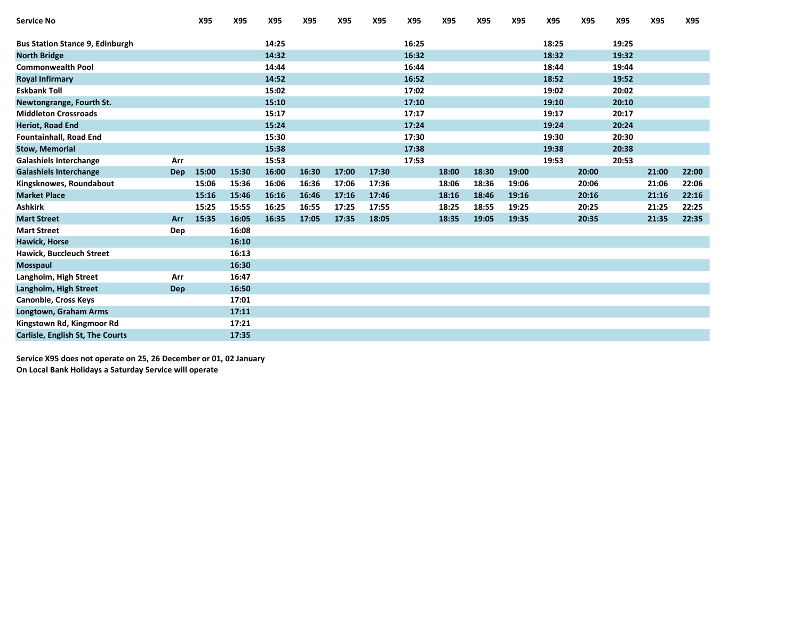| <b>Service No</b>                      |            | X95   | X95   | X95   | X95   | X95   | X95   | X95   | X95   | X95   | X95   | X95   | X95   | X95   | X95   | X95   |
|----------------------------------------|------------|-------|-------|-------|-------|-------|-------|-------|-------|-------|-------|-------|-------|-------|-------|-------|
| <b>Bus Station Stance 9, Edinburgh</b> |            |       |       | 14:25 |       |       |       | 16:25 |       |       |       | 18:25 |       | 19:25 |       |       |
| <b>North Bridge</b>                    |            |       |       | 14:32 |       |       |       | 16:32 |       |       |       | 18:32 |       | 19:32 |       |       |
| <b>Commonwealth Pool</b>               |            |       |       | 14:44 |       |       |       | 16:44 |       |       |       | 18:44 |       | 19:44 |       |       |
| <b>Royal Infirmary</b>                 |            |       |       | 14:52 |       |       |       | 16:52 |       |       |       | 18:52 |       | 19:52 |       |       |
| <b>Eskbank Toll</b>                    |            |       |       | 15:02 |       |       |       | 17:02 |       |       |       | 19:02 |       | 20:02 |       |       |
| Newtongrange, Fourth St.               |            |       |       | 15:10 |       |       |       | 17:10 |       |       |       | 19:10 |       | 20:10 |       |       |
| <b>Middleton Crossroads</b>            |            |       |       | 15:17 |       |       |       | 17:17 |       |       |       | 19:17 |       | 20:17 |       |       |
|                                        |            |       |       | 15:24 |       |       |       |       |       |       |       |       |       |       |       |       |
| <b>Heriot, Road End</b>                |            |       |       |       |       |       |       | 17:24 |       |       |       | 19:24 |       | 20:24 |       |       |
| <b>Fountainhall, Road End</b>          |            |       |       | 15:30 |       |       |       | 17:30 |       |       |       | 19:30 |       | 20:30 |       |       |
| <b>Stow, Memorial</b>                  |            |       |       | 15:38 |       |       |       | 17:38 |       |       |       | 19:38 |       | 20:38 |       |       |
| <b>Galashiels Interchange</b>          | Arr        |       |       | 15:53 |       |       |       | 17:53 |       |       |       | 19:53 |       | 20:53 |       |       |
| <b>Galashiels Interchange</b>          | <b>Dep</b> | 15:00 | 15:30 | 16:00 | 16:30 | 17:00 | 17:30 |       | 18:00 | 18:30 | 19:00 |       | 20:00 |       | 21:00 | 22:00 |
| Kingsknowes, Roundabout                |            | 15:06 | 15:36 | 16:06 | 16:36 | 17:06 | 17:36 |       | 18:06 | 18:36 | 19:06 |       | 20:06 |       | 21:06 | 22:06 |
| <b>Market Place</b>                    |            | 15:16 | 15:46 | 16:16 | 16:46 | 17:16 | 17:46 |       | 18:16 | 18:46 | 19:16 |       | 20:16 |       | 21:16 | 22:16 |
| <b>Ashkirk</b>                         |            | 15:25 | 15:55 | 16:25 | 16:55 | 17:25 | 17:55 |       | 18:25 | 18:55 | 19:25 |       | 20:25 |       | 21:25 | 22:25 |
| <b>Mart Street</b>                     | Arr        | 15:35 | 16:05 | 16:35 | 17:05 | 17:35 | 18:05 |       | 18:35 | 19:05 | 19:35 |       | 20:35 |       | 21:35 | 22:35 |
| <b>Mart Street</b>                     | Dep        |       | 16:08 |       |       |       |       |       |       |       |       |       |       |       |       |       |
| <b>Hawick, Horse</b>                   |            |       | 16:10 |       |       |       |       |       |       |       |       |       |       |       |       |       |
| <b>Hawick, Buccleuch Street</b>        |            |       | 16:13 |       |       |       |       |       |       |       |       |       |       |       |       |       |
| Mosspaul                               |            |       | 16:30 |       |       |       |       |       |       |       |       |       |       |       |       |       |
| Langholm, High Street                  | Arr        |       | 16:47 |       |       |       |       |       |       |       |       |       |       |       |       |       |
| Langholm, High Street                  | <b>Dep</b> |       | 16:50 |       |       |       |       |       |       |       |       |       |       |       |       |       |
| <b>Canonbie, Cross Keys</b>            |            |       | 17:01 |       |       |       |       |       |       |       |       |       |       |       |       |       |
| Longtown, Graham Arms                  |            |       | 17:11 |       |       |       |       |       |       |       |       |       |       |       |       |       |
| Kingstown Rd, Kingmoor Rd              |            |       | 17:21 |       |       |       |       |       |       |       |       |       |       |       |       |       |
| Carlisle, English St, The Courts       |            |       | 17:35 |       |       |       |       |       |       |       |       |       |       |       |       |       |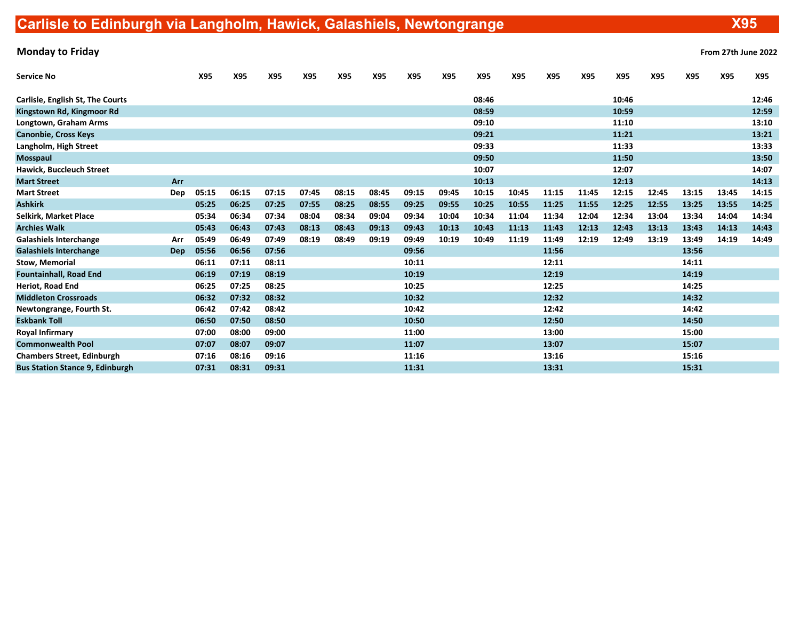| From 27th June 202 |  |  |
|--------------------|--|--|
|                    |  |  |

| <b>Service No</b>                      |     | X95   | X95   | X95   | X95   | X95   | X95   | X95   | X95   | X95   | X95   | X95   | X95   | X95   | X95   | X95   | X95   | X95   |
|----------------------------------------|-----|-------|-------|-------|-------|-------|-------|-------|-------|-------|-------|-------|-------|-------|-------|-------|-------|-------|
| Carlisle, English St, The Courts       |     |       |       |       |       |       |       |       |       | 08:46 |       |       |       | 10:46 |       |       |       | 12:46 |
| Kingstown Rd, Kingmoor Rd              |     |       |       |       |       |       |       |       |       | 08:59 |       |       |       | 10:59 |       |       |       | 12:59 |
| Longtown, Graham Arms                  |     |       |       |       |       |       |       |       |       | 09:10 |       |       |       | 11:10 |       |       |       | 13:10 |
| <b>Canonbie, Cross Keys</b>            |     |       |       |       |       |       |       |       |       | 09:21 |       |       |       | 11:21 |       |       |       | 13:21 |
| Langholm, High Street                  |     |       |       |       |       |       |       |       |       | 09:33 |       |       |       | 11:33 |       |       |       | 13:33 |
| <b>Mosspaul</b>                        |     |       |       |       |       |       |       |       |       | 09:50 |       |       |       | 11:50 |       |       |       | 13:50 |
| Hawick, Buccleuch Street               |     |       |       |       |       |       |       |       |       | 10:07 |       |       |       | 12:07 |       |       |       | 14:07 |
| <b>Mart Street</b>                     | Arr |       |       |       |       |       |       |       |       | 10:13 |       |       |       | 12:13 |       |       |       | 14:13 |
| <b>Mart Street</b>                     | Dep | 05:15 | 06:15 | 07:15 | 07:45 | 08:15 | 08:45 | 09:15 | 09:45 | 10:15 | 10:45 | 11:15 | 11:45 | 12:15 | 12:45 | 13:15 | 13:45 | 14:15 |
| <b>Ashkirk</b>                         |     | 05:25 | 06:25 | 07:25 | 07:55 | 08:25 | 08:55 | 09:25 | 09:55 | 10:25 | 10:55 | 11:25 | 11:55 | 12:25 | 12:55 | 13:25 | 13:55 | 14:25 |
| <b>Selkirk, Market Place</b>           |     | 05:34 | 06:34 | 07:34 | 08:04 | 08:34 | 09:04 | 09:34 | 10:04 | 10:34 | 11:04 | 11:34 | 12:04 | 12:34 | 13:04 | 13:34 | 14:04 | 14:34 |
| <b>Archies Walk</b>                    |     | 05:43 | 06:43 | 07:43 | 08:13 | 08:43 | 09:13 | 09:43 | 10:13 | 10:43 | 11:13 | 11:43 | 12:13 | 12:43 | 13:13 | 13:43 | 14:13 | 14:43 |
| <b>Galashiels Interchange</b>          | Arr | 05:49 | 06:49 | 07:49 | 08:19 | 08:49 | 09:19 | 09:49 | 10:19 | 10:49 | 11:19 | 11:49 | 12:19 | 12:49 | 13:19 | 13:49 | 14:19 | 14:49 |
| <b>Galashiels Interchange</b>          | Dep | 05:56 | 06:56 | 07:56 |       |       |       | 09:56 |       |       |       | 11:56 |       |       |       | 13:56 |       |       |
| <b>Stow, Memorial</b>                  |     | 06:11 | 07:11 | 08:11 |       |       |       | 10:11 |       |       |       | 12:11 |       |       |       | 14:11 |       |       |
| <b>Fountainhall, Road End</b>          |     | 06:19 | 07:19 | 08:19 |       |       |       | 10:19 |       |       |       | 12:19 |       |       |       | 14:19 |       |       |
| Heriot, Road End                       |     | 06:25 | 07:25 | 08:25 |       |       |       | 10:25 |       |       |       | 12:25 |       |       |       | 14:25 |       |       |
| <b>Middleton Crossroads</b>            |     | 06:32 | 07:32 | 08:32 |       |       |       | 10:32 |       |       |       | 12:32 |       |       |       | 14:32 |       |       |
| Newtongrange, Fourth St.               |     | 06:42 | 07:42 | 08:42 |       |       |       | 10:42 |       |       |       | 12:42 |       |       |       | 14:42 |       |       |
| <b>Eskbank Toll</b>                    |     | 06:50 | 07:50 | 08:50 |       |       |       | 10:50 |       |       |       | 12:50 |       |       |       | 14:50 |       |       |
| <b>Royal Infirmary</b>                 |     | 07:00 | 08:00 | 09:00 |       |       |       | 11:00 |       |       |       | 13:00 |       |       |       | 15:00 |       |       |
| <b>Commonwealth Pool</b>               |     | 07:07 | 08:07 | 09:07 |       |       |       | 11:07 |       |       |       | 13:07 |       |       |       | 15:07 |       |       |
| <b>Chambers Street, Edinburgh</b>      |     | 07:16 | 08:16 | 09:16 |       |       |       | 11:16 |       |       |       | 13:16 |       |       |       | 15:16 |       |       |
| <b>Bus Station Stance 9, Edinburgh</b> |     | 07:31 | 08:31 | 09:31 |       |       |       | 11:31 |       |       |       | 13:31 |       |       |       | 15:31 |       |       |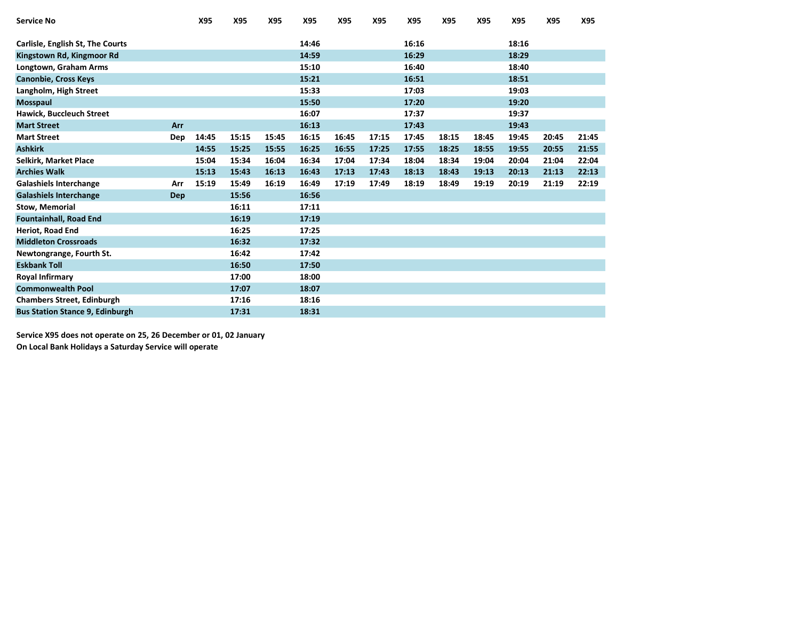| <b>Service No</b>                      |     | X95   | X95   | X95   | X95   | X95   | X95   | X95   | X95   | X95   | X95   | X95   | X95   |
|----------------------------------------|-----|-------|-------|-------|-------|-------|-------|-------|-------|-------|-------|-------|-------|
| Carlisle, English St, The Courts       |     |       |       |       | 14:46 |       |       | 16:16 |       |       | 18:16 |       |       |
| Kingstown Rd, Kingmoor Rd              |     |       |       |       | 14:59 |       |       | 16:29 |       |       | 18:29 |       |       |
| Longtown, Graham Arms                  |     |       |       |       | 15:10 |       |       | 16:40 |       |       | 18:40 |       |       |
| <b>Canonbie, Cross Keys</b>            |     |       |       |       | 15:21 |       |       | 16:51 |       |       | 18:51 |       |       |
| Langholm, High Street                  |     |       |       |       | 15:33 |       |       | 17:03 |       |       | 19:03 |       |       |
| Mosspaul                               |     |       |       |       | 15:50 |       |       | 17:20 |       |       | 19:20 |       |       |
| <b>Hawick, Buccleuch Street</b>        |     |       |       |       | 16:07 |       |       | 17:37 |       |       | 19:37 |       |       |
| <b>Mart Street</b>                     | Arr |       |       |       | 16:13 |       |       | 17:43 |       |       | 19:43 |       |       |
| <b>Mart Street</b>                     | Dep | 14:45 | 15:15 | 15:45 | 16:15 | 16:45 | 17:15 | 17:45 | 18:15 | 18:45 | 19:45 | 20:45 | 21:45 |
| <b>Ashkirk</b>                         |     | 14:55 | 15:25 | 15:55 | 16:25 | 16:55 | 17:25 | 17:55 | 18:25 | 18:55 | 19:55 | 20:55 | 21:55 |
| Selkirk, Market Place                  |     | 15:04 | 15:34 | 16:04 | 16:34 | 17:04 | 17:34 | 18:04 | 18:34 | 19:04 | 20:04 | 21:04 | 22:04 |
| <b>Archies Walk</b>                    |     | 15:13 | 15:43 | 16:13 | 16:43 | 17:13 | 17:43 | 18:13 | 18:43 | 19:13 | 20:13 | 21:13 | 22:13 |
| <b>Galashiels Interchange</b>          | Arr | 15:19 | 15:49 | 16:19 | 16:49 | 17:19 | 17:49 | 18:19 | 18:49 | 19:19 | 20:19 | 21:19 | 22:19 |
| <b>Galashiels Interchange</b>          | Dep |       | 15:56 |       | 16:56 |       |       |       |       |       |       |       |       |
| <b>Stow, Memorial</b>                  |     |       | 16:11 |       | 17:11 |       |       |       |       |       |       |       |       |
| <b>Fountainhall, Road End</b>          |     |       | 16:19 |       | 17:19 |       |       |       |       |       |       |       |       |
| Heriot, Road End                       |     |       | 16:25 |       | 17:25 |       |       |       |       |       |       |       |       |
| <b>Middleton Crossroads</b>            |     |       | 16:32 |       | 17:32 |       |       |       |       |       |       |       |       |
| Newtongrange, Fourth St.               |     |       | 16:42 |       | 17:42 |       |       |       |       |       |       |       |       |
| <b>Eskbank Toll</b>                    |     |       | 16:50 |       | 17:50 |       |       |       |       |       |       |       |       |
| <b>Royal Infirmary</b>                 |     |       | 17:00 |       | 18:00 |       |       |       |       |       |       |       |       |
| <b>Commonwealth Pool</b>               |     |       | 17:07 |       | 18:07 |       |       |       |       |       |       |       |       |
| <b>Chambers Street, Edinburgh</b>      |     |       | 17:16 |       | 18:16 |       |       |       |       |       |       |       |       |
| <b>Bus Station Stance 9, Edinburgh</b> |     |       | 17:31 |       | 18:31 |       |       |       |       |       |       |       |       |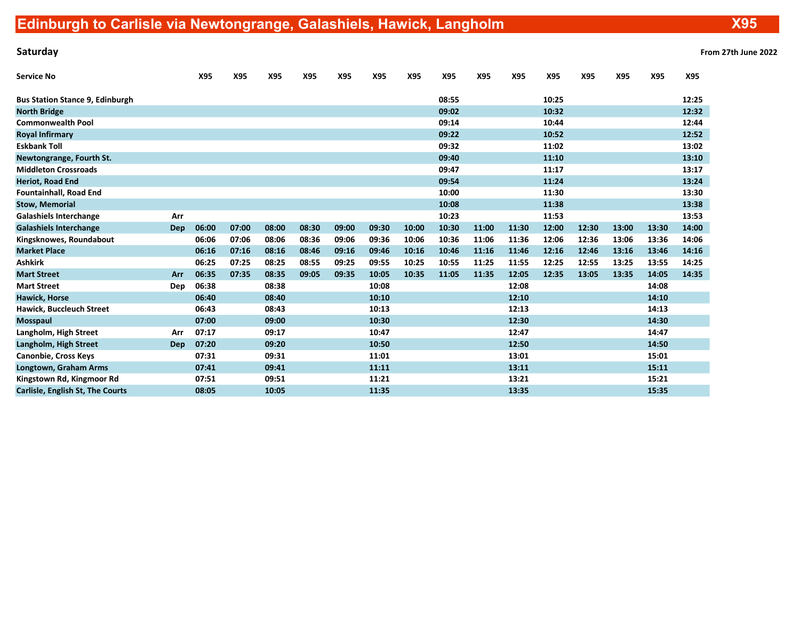| Saturday | From 27th June 2022 |
|----------|---------------------|
|----------|---------------------|

| <b>Service No</b>                       |            | X95   | X95   | X95   | X95   | X95   | X95   | X95   | X95   | X95   | X95   | X95   | X95   | X95   | X95   | X95   |
|-----------------------------------------|------------|-------|-------|-------|-------|-------|-------|-------|-------|-------|-------|-------|-------|-------|-------|-------|
| <b>Bus Station Stance 9, Edinburgh</b>  |            |       |       |       |       |       |       |       | 08:55 |       |       | 10:25 |       |       |       | 12:25 |
| <b>North Bridge</b>                     |            |       |       |       |       |       |       |       | 09:02 |       |       | 10:32 |       |       |       | 12:32 |
| <b>Commonwealth Pool</b>                |            |       |       |       |       |       |       |       | 09:14 |       |       | 10:44 |       |       |       | 12:44 |
| <b>Royal Infirmary</b>                  |            |       |       |       |       |       |       |       | 09:22 |       |       | 10:52 |       |       |       | 12:52 |
| <b>Eskbank Toll</b>                     |            |       |       |       |       |       |       |       | 09:32 |       |       | 11:02 |       |       |       | 13:02 |
| Newtongrange, Fourth St.                |            |       |       |       |       |       |       |       | 09:40 |       |       | 11:10 |       |       |       | 13:10 |
| <b>Middleton Crossroads</b>             |            |       |       |       |       |       |       |       | 09:47 |       |       | 11:17 |       |       |       | 13:17 |
| <b>Heriot, Road End</b>                 |            |       |       |       |       |       |       |       | 09:54 |       |       | 11:24 |       |       |       | 13:24 |
| <b>Fountainhall, Road End</b>           |            |       |       |       |       |       |       |       | 10:00 |       |       | 11:30 |       |       |       | 13:30 |
| <b>Stow, Memorial</b>                   |            |       |       |       |       |       |       |       | 10:08 |       |       | 11:38 |       |       |       | 13:38 |
| <b>Galashiels Interchange</b>           | Arr        |       |       |       |       |       |       |       | 10:23 |       |       | 11:53 |       |       |       | 13:53 |
| <b>Galashiels Interchange</b>           | Dep        | 06:00 | 07:00 | 08:00 | 08:30 | 09:00 | 09:30 | 10:00 | 10:30 | 11:00 | 11:30 | 12:00 | 12:30 | 13:00 | 13:30 | 14:00 |
| Kingsknowes, Roundabout                 |            | 06:06 | 07:06 | 08:06 | 08:36 | 09:06 | 09:36 | 10:06 | 10:36 | 11:06 | 11:36 | 12:06 | 12:36 | 13:06 | 13:36 | 14:06 |
| <b>Market Place</b>                     |            | 06:16 | 07:16 | 08:16 | 08:46 | 09:16 | 09:46 | 10:16 | 10:46 | 11:16 | 11:46 | 12:16 | 12:46 | 13:16 | 13:46 | 14:16 |
| <b>Ashkirk</b>                          |            | 06:25 | 07:25 | 08:25 | 08:55 | 09:25 | 09:55 | 10:25 | 10:55 | 11:25 | 11:55 | 12:25 | 12:55 | 13:25 | 13:55 | 14:25 |
| <b>Mart Street</b>                      | Arr        | 06:35 | 07:35 | 08:35 | 09:05 | 09:35 | 10:05 | 10:35 | 11:05 | 11:35 | 12:05 | 12:35 | 13:05 | 13:35 | 14:05 | 14:35 |
| <b>Mart Street</b>                      | Dep        | 06:38 |       | 08:38 |       |       | 10:08 |       |       |       | 12:08 |       |       |       | 14:08 |       |
| Hawick, Horse                           |            | 06:40 |       | 08:40 |       |       | 10:10 |       |       |       | 12:10 |       |       |       | 14:10 |       |
| <b>Hawick, Buccleuch Street</b>         |            | 06:43 |       | 08:43 |       |       | 10:13 |       |       |       | 12:13 |       |       |       | 14:13 |       |
| Mosspaul                                |            | 07:00 |       | 09:00 |       |       | 10:30 |       |       |       | 12:30 |       |       |       | 14:30 |       |
| Langholm, High Street                   | Arr        | 07:17 |       | 09:17 |       |       | 10:47 |       |       |       | 12:47 |       |       |       | 14:47 |       |
| Langholm, High Street                   | <b>Dep</b> | 07:20 |       | 09:20 |       |       | 10:50 |       |       |       | 12:50 |       |       |       | 14:50 |       |
| <b>Canonbie, Cross Keys</b>             |            | 07:31 |       | 09:31 |       |       | 11:01 |       |       |       | 13:01 |       |       |       | 15:01 |       |
| Longtown, Graham Arms                   |            | 07:41 |       | 09:41 |       |       | 11:11 |       |       |       | 13:11 |       |       |       | 15:11 |       |
| Kingstown Rd, Kingmoor Rd               |            | 07:51 |       | 09:51 |       |       | 11:21 |       |       |       | 13:21 |       |       |       | 15:21 |       |
| <b>Carlisle, English St, The Courts</b> |            | 08:05 |       | 10:05 |       |       | 11:35 |       |       |       | 13:35 |       |       |       | 15:35 |       |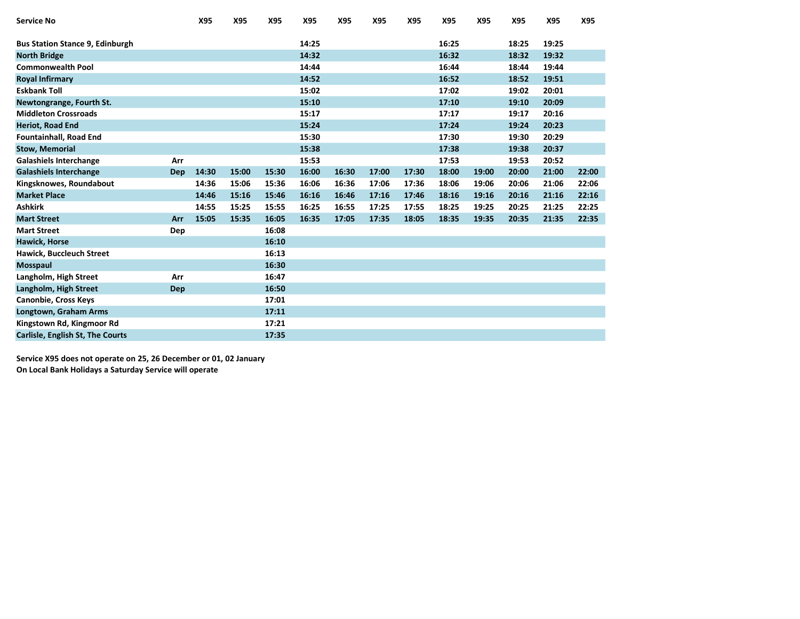| <b>Service No</b>                      |            | X95   | X95   | X95   | X95   | X95   | X95   | X95   | X95   | X95   | X95   | X95   | X95   |
|----------------------------------------|------------|-------|-------|-------|-------|-------|-------|-------|-------|-------|-------|-------|-------|
| <b>Bus Station Stance 9, Edinburgh</b> |            |       |       |       | 14:25 |       |       |       | 16:25 |       | 18:25 | 19:25 |       |
| <b>North Bridge</b>                    |            |       |       |       | 14:32 |       |       |       | 16:32 |       | 18:32 | 19:32 |       |
| <b>Commonwealth Pool</b>               |            |       |       |       | 14:44 |       |       |       | 16:44 |       | 18:44 | 19:44 |       |
| <b>Royal Infirmary</b>                 |            |       |       |       | 14:52 |       |       |       | 16:52 |       | 18:52 | 19:51 |       |
| <b>Eskbank Toll</b>                    |            |       |       |       | 15:02 |       |       |       | 17:02 |       | 19:02 | 20:01 |       |
| Newtongrange, Fourth St.               |            |       |       |       | 15:10 |       |       |       | 17:10 |       | 19:10 | 20:09 |       |
| <b>Middleton Crossroads</b>            |            |       |       |       | 15:17 |       |       |       | 17:17 |       | 19:17 | 20:16 |       |
| <b>Heriot, Road End</b>                |            |       |       |       | 15:24 |       |       |       | 17:24 |       | 19:24 | 20:23 |       |
| <b>Fountainhall, Road End</b>          |            |       |       |       | 15:30 |       |       |       | 17:30 |       | 19:30 | 20:29 |       |
| <b>Stow, Memorial</b>                  |            |       |       |       | 15:38 |       |       |       | 17:38 |       | 19:38 | 20:37 |       |
| <b>Galashiels Interchange</b>          | Arr        |       |       |       | 15:53 |       |       |       | 17:53 |       | 19:53 | 20:52 |       |
| <b>Galashiels Interchange</b>          | Dep        | 14:30 | 15:00 | 15:30 | 16:00 | 16:30 | 17:00 | 17:30 | 18:00 | 19:00 | 20:00 | 21:00 | 22:00 |
| Kingsknowes, Roundabout                |            | 14:36 | 15:06 | 15:36 | 16:06 | 16:36 | 17:06 | 17:36 | 18:06 | 19:06 | 20:06 | 21:06 | 22:06 |
| <b>Market Place</b>                    |            | 14:46 | 15:16 | 15:46 | 16:16 | 16:46 | 17:16 | 17:46 | 18:16 | 19:16 | 20:16 | 21:16 | 22:16 |
| <b>Ashkirk</b>                         |            | 14:55 | 15:25 | 15:55 | 16:25 | 16:55 | 17:25 | 17:55 | 18:25 | 19:25 | 20:25 | 21:25 | 22:25 |
| <b>Mart Street</b>                     | Arr        | 15:05 | 15:35 | 16:05 | 16:35 | 17:05 | 17:35 | 18:05 | 18:35 | 19:35 | 20:35 | 21:35 | 22:35 |
| <b>Mart Street</b>                     | Dep        |       |       | 16:08 |       |       |       |       |       |       |       |       |       |
| <b>Hawick, Horse</b>                   |            |       |       | 16:10 |       |       |       |       |       |       |       |       |       |
| <b>Hawick, Buccleuch Street</b>        |            |       |       | 16:13 |       |       |       |       |       |       |       |       |       |
| <b>Mosspaul</b>                        |            |       |       | 16:30 |       |       |       |       |       |       |       |       |       |
| Langholm, High Street                  | Arr        |       |       | 16:47 |       |       |       |       |       |       |       |       |       |
| Langholm, High Street                  | <b>Dep</b> |       |       | 16:50 |       |       |       |       |       |       |       |       |       |
| Canonbie, Cross Keys                   |            |       |       | 17:01 |       |       |       |       |       |       |       |       |       |
| Longtown, Graham Arms                  |            |       |       | 17:11 |       |       |       |       |       |       |       |       |       |
| Kingstown Rd, Kingmoor Rd              |            |       |       | 17:21 |       |       |       |       |       |       |       |       |       |
| Carlisle, English St, The Courts       |            |       |       | 17:35 |       |       |       |       |       |       |       |       |       |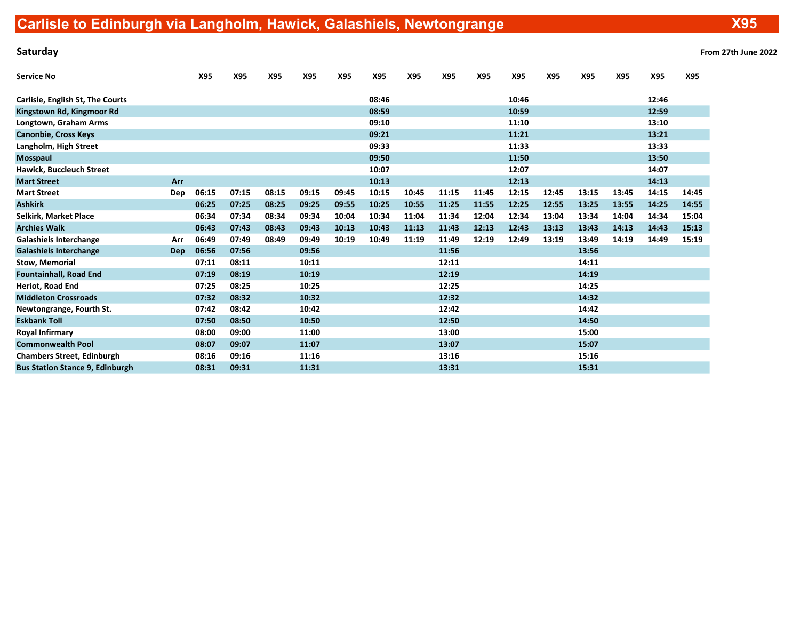Saturday From 27th June 2022

| Service No                              |     | X95   | X95   | X95   | X95   | X95   | X95   | X95   | X95   | X95   | X95   | X95   | X95   | X95   | X95   | X95   |
|-----------------------------------------|-----|-------|-------|-------|-------|-------|-------|-------|-------|-------|-------|-------|-------|-------|-------|-------|
| <b>Carlisle, English St, The Courts</b> |     |       |       |       |       |       | 08:46 |       |       |       | 10:46 |       |       |       | 12:46 |       |
| Kingstown Rd, Kingmoor Rd               |     |       |       |       |       |       | 08:59 |       |       |       | 10:59 |       |       |       | 12:59 |       |
| Longtown, Graham Arms                   |     |       |       |       |       |       | 09:10 |       |       |       | 11:10 |       |       |       | 13:10 |       |
| <b>Canonbie, Cross Keys</b>             |     |       |       |       |       |       | 09:21 |       |       |       | 11:21 |       |       |       | 13:21 |       |
| Langholm, High Street                   |     |       |       |       |       |       | 09:33 |       |       |       | 11:33 |       |       |       | 13:33 |       |
| Mosspaul                                |     |       |       |       |       |       | 09:50 |       |       |       | 11:50 |       |       |       | 13:50 |       |
| <b>Hawick, Buccleuch Street</b>         |     |       |       |       |       |       | 10:07 |       |       |       | 12:07 |       |       |       | 14:07 |       |
| <b>Mart Street</b>                      | Arr |       |       |       |       |       | 10:13 |       |       |       | 12:13 |       |       |       | 14:13 |       |
| <b>Mart Street</b>                      | Dep | 06:15 | 07:15 | 08:15 | 09:15 | 09:45 | 10:15 | 10:45 | 11:15 | 11:45 | 12:15 | 12:45 | 13:15 | 13:45 | 14:15 | 14:45 |
| <b>Ashkirk</b>                          |     | 06:25 | 07:25 | 08:25 | 09:25 | 09:55 | 10:25 | 10:55 | 11:25 | 11:55 | 12:25 | 12:55 | 13:25 | 13:55 | 14:25 | 14:55 |
| Selkirk. Market Place                   |     | 06:34 | 07:34 | 08:34 | 09:34 | 10:04 | 10:34 | 11:04 | 11:34 | 12:04 | 12:34 | 13:04 | 13:34 | 14:04 | 14:34 | 15:04 |
| <b>Archies Walk</b>                     |     | 06:43 | 07:43 | 08:43 | 09:43 | 10:13 | 10:43 | 11:13 | 11:43 | 12:13 | 12:43 | 13:13 | 13:43 | 14:13 | 14:43 | 15:13 |
| <b>Galashiels Interchange</b>           | Arr | 06:49 | 07:49 | 08:49 | 09:49 | 10:19 | 10:49 | 11:19 | 11:49 | 12:19 | 12:49 | 13:19 | 13:49 | 14:19 | 14:49 | 15:19 |
| <b>Galashiels Interchange</b>           | Dep | 06:56 | 07:56 |       | 09:56 |       |       |       | 11:56 |       |       |       | 13:56 |       |       |       |
| <b>Stow, Memorial</b>                   |     | 07:11 | 08:11 |       | 10:11 |       |       |       | 12:11 |       |       |       | 14:11 |       |       |       |
| <b>Fountainhall, Road End</b>           |     | 07:19 | 08:19 |       | 10:19 |       |       |       | 12:19 |       |       |       | 14:19 |       |       |       |
| Heriot, Road End                        |     | 07:25 | 08:25 |       | 10:25 |       |       |       | 12:25 |       |       |       | 14:25 |       |       |       |
| <b>Middleton Crossroads</b>             |     | 07:32 | 08:32 |       | 10:32 |       |       |       | 12:32 |       |       |       | 14:32 |       |       |       |
| Newtongrange, Fourth St.                |     | 07:42 | 08:42 |       | 10:42 |       |       |       | 12:42 |       |       |       | 14:42 |       |       |       |
| <b>Eskbank Toll</b>                     |     | 07:50 | 08:50 |       | 10:50 |       |       |       | 12:50 |       |       |       | 14:50 |       |       |       |
| Royal Infirmary                         |     | 08:00 | 09:00 |       | 11:00 |       |       |       | 13:00 |       |       |       | 15:00 |       |       |       |
| <b>Commonwealth Pool</b>                |     | 08:07 | 09:07 |       | 11:07 |       |       |       | 13:07 |       |       |       | 15:07 |       |       |       |
| <b>Chambers Street, Edinburgh</b>       |     | 08:16 | 09:16 |       | 11:16 |       |       |       | 13:16 |       |       |       | 15:16 |       |       |       |
| <b>Bus Station Stance 9, Edinburgh</b>  |     | 08:31 | 09:31 |       | 11:31 |       |       |       | 13:31 |       |       |       | 15:31 |       |       |       |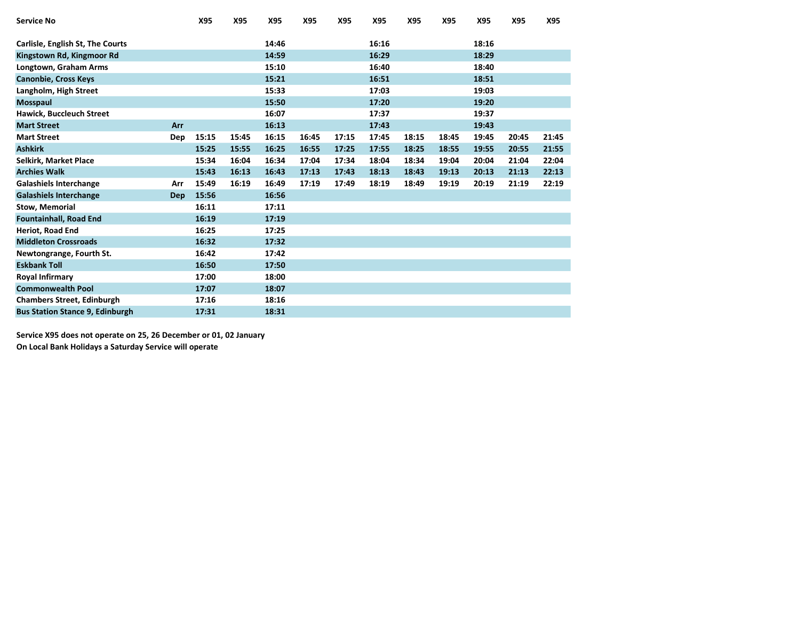| <b>Service No</b>                      |            | X95   | X95   | X95   | X95   | X95   | X95   | X95   | X95   | X95   | X95   | X95   |
|----------------------------------------|------------|-------|-------|-------|-------|-------|-------|-------|-------|-------|-------|-------|
| Carlisle, English St, The Courts       |            |       |       | 14:46 |       |       | 16:16 |       |       | 18:16 |       |       |
|                                        |            |       |       |       |       |       |       |       |       |       |       |       |
| Kingstown Rd, Kingmoor Rd              |            |       |       | 14:59 |       |       | 16:29 |       |       | 18:29 |       |       |
| Longtown, Graham Arms                  |            |       |       | 15:10 |       |       | 16:40 |       |       | 18:40 |       |       |
| <b>Canonbie, Cross Keys</b>            |            |       |       | 15:21 |       |       | 16:51 |       |       | 18:51 |       |       |
| Langholm, High Street                  |            |       |       | 15:33 |       |       | 17:03 |       |       | 19:03 |       |       |
| Mosspaul                               |            |       |       | 15:50 |       |       | 17:20 |       |       | 19:20 |       |       |
| Hawick, Buccleuch Street               |            |       |       | 16:07 |       |       | 17:37 |       |       | 19:37 |       |       |
| <b>Mart Street</b>                     | Arr        |       |       | 16:13 |       |       | 17:43 |       |       | 19:43 |       |       |
| <b>Mart Street</b>                     | Dep        | 15:15 | 15:45 | 16:15 | 16:45 | 17:15 | 17:45 | 18:15 | 18:45 | 19:45 | 20:45 | 21:45 |
| <b>Ashkirk</b>                         |            | 15:25 | 15:55 | 16:25 | 16:55 | 17:25 | 17:55 | 18:25 | 18:55 | 19:55 | 20:55 | 21:55 |
| Selkirk, Market Place                  |            | 15:34 | 16:04 | 16:34 | 17:04 | 17:34 | 18:04 | 18:34 | 19:04 | 20:04 | 21:04 | 22:04 |
| <b>Archies Walk</b>                    |            | 15:43 | 16:13 | 16:43 | 17:13 | 17:43 | 18:13 | 18:43 | 19:13 | 20:13 | 21:13 | 22:13 |
| <b>Galashiels Interchange</b>          | Arr        | 15:49 | 16:19 | 16:49 | 17:19 | 17:49 | 18:19 | 18:49 | 19:19 | 20:19 | 21:19 | 22:19 |
| <b>Galashiels Interchange</b>          | <b>Dep</b> | 15:56 |       | 16:56 |       |       |       |       |       |       |       |       |
| <b>Stow, Memorial</b>                  |            | 16:11 |       | 17:11 |       |       |       |       |       |       |       |       |
| <b>Fountainhall, Road End</b>          |            | 16:19 |       | 17:19 |       |       |       |       |       |       |       |       |
| Heriot, Road End                       |            | 16:25 |       | 17:25 |       |       |       |       |       |       |       |       |
| <b>Middleton Crossroads</b>            |            | 16:32 |       | 17:32 |       |       |       |       |       |       |       |       |
| Newtongrange, Fourth St.               |            | 16:42 |       | 17:42 |       |       |       |       |       |       |       |       |
| <b>Eskbank Toll</b>                    |            | 16:50 |       | 17:50 |       |       |       |       |       |       |       |       |
| <b>Royal Infirmary</b>                 |            | 17:00 |       | 18:00 |       |       |       |       |       |       |       |       |
| <b>Commonwealth Pool</b>               |            | 17:07 |       | 18:07 |       |       |       |       |       |       |       |       |
| <b>Chambers Street, Edinburgh</b>      |            | 17:16 |       | 18:16 |       |       |       |       |       |       |       |       |
| <b>Bus Station Stance 9, Edinburgh</b> |            | 17:31 |       | 18:31 |       |       |       |       |       |       |       |       |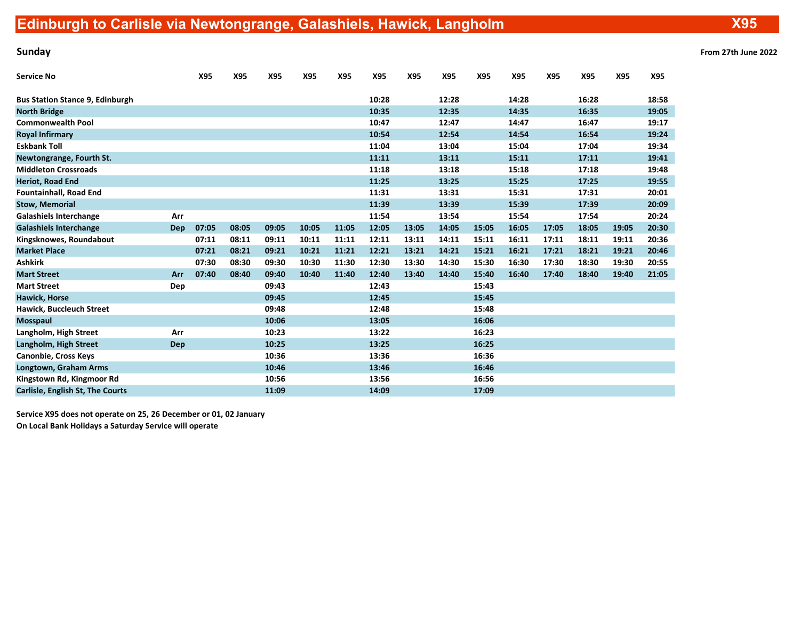X95

| <b>Sunday</b> | From 27th June 2022 |
|---------------|---------------------|
|---------------|---------------------|

| Service No                             |            | X95   | X95   | X95   | <b>X95</b> | X95   | X95   | X95   | X95   | X95   | X95   | X95   | X95   | X95   | X95   |
|----------------------------------------|------------|-------|-------|-------|------------|-------|-------|-------|-------|-------|-------|-------|-------|-------|-------|
| <b>Bus Station Stance 9, Edinburgh</b> |            |       |       |       |            |       | 10:28 |       | 12:28 |       | 14:28 |       | 16:28 |       | 18:58 |
| <b>North Bridge</b>                    |            |       |       |       |            |       | 10:35 |       | 12:35 |       | 14:35 |       | 16:35 |       | 19:05 |
| <b>Commonwealth Pool</b>               |            |       |       |       |            |       | 10:47 |       | 12:47 |       | 14:47 |       | 16:47 |       | 19:17 |
| Royal Infirmary                        |            |       |       |       |            |       | 10:54 |       | 12:54 |       | 14:54 |       | 16:54 |       | 19:24 |
| <b>Eskbank Toll</b>                    |            |       |       |       |            |       | 11:04 |       | 13:04 |       | 15:04 |       | 17:04 |       | 19:34 |
| Newtongrange, Fourth St.               |            |       |       |       |            |       | 11:11 |       | 13:11 |       | 15:11 |       | 17:11 |       | 19:41 |
| <b>Middleton Crossroads</b>            |            |       |       |       |            |       | 11:18 |       | 13:18 |       | 15:18 |       | 17:18 |       | 19:48 |
| Heriot, Road End                       |            |       |       |       |            |       | 11:25 |       | 13:25 |       | 15:25 |       | 17:25 |       | 19:55 |
| Fountainhall, Road End                 |            |       |       |       |            |       | 11:31 |       | 13:31 |       | 15:31 |       | 17:31 |       | 20:01 |
| <b>Stow, Memorial</b>                  |            |       |       |       |            |       | 11:39 |       | 13:39 |       | 15:39 |       | 17:39 |       | 20:09 |
| <b>Galashiels Interchange</b>          | Arr        |       |       |       |            |       | 11:54 |       | 13:54 |       | 15:54 |       | 17:54 |       | 20:24 |
| <b>Galashiels Interchange</b>          | <b>Dep</b> | 07:05 | 08:05 | 09:05 | 10:05      | 11:05 | 12:05 | 13:05 | 14:05 | 15:05 | 16:05 | 17:05 | 18:05 | 19:05 | 20:30 |
| Kingsknowes, Roundabout                |            | 07:11 | 08:11 | 09:11 | 10:11      | 11:11 | 12:11 | 13:11 | 14:11 | 15:11 | 16:11 | 17:11 | 18:11 | 19:11 | 20:36 |
| <b>Market Place</b>                    |            | 07:21 | 08:21 | 09:21 | 10:21      | 11:21 | 12:21 | 13:21 | 14:21 | 15:21 | 16:21 | 17:21 | 18:21 | 19:21 | 20:46 |
| Ashkirk                                |            | 07:30 | 08:30 | 09:30 | 10:30      | 11:30 | 12:30 | 13:30 | 14:30 | 15:30 | 16:30 | 17:30 | 18:30 | 19:30 | 20:55 |
| <b>Mart Street</b>                     | Arr        | 07:40 | 08:40 | 09:40 | 10:40      | 11:40 | 12:40 | 13:40 | 14:40 | 15:40 | 16:40 | 17:40 | 18:40 | 19:40 | 21:05 |
| <b>Mart Street</b>                     | Dep        |       |       | 09:43 |            |       | 12:43 |       |       | 15:43 |       |       |       |       |       |
| <b>Hawick, Horse</b>                   |            |       |       | 09:45 |            |       | 12:45 |       |       | 15:45 |       |       |       |       |       |
| <b>Hawick, Buccleuch Street</b>        |            |       |       | 09:48 |            |       | 12:48 |       |       | 15:48 |       |       |       |       |       |
| Mosspaul                               |            |       |       | 10:06 |            |       | 13:05 |       |       | 16:06 |       |       |       |       |       |
| Langholm, High Street                  | Arr        |       |       | 10:23 |            |       | 13:22 |       |       | 16:23 |       |       |       |       |       |
| Langholm, High Street                  | <b>Dep</b> |       |       | 10:25 |            |       | 13:25 |       |       | 16:25 |       |       |       |       |       |
| Canonbie, Cross Keys                   |            |       |       | 10:36 |            |       | 13:36 |       |       | 16:36 |       |       |       |       |       |
| Longtown, Graham Arms                  |            |       |       | 10:46 |            |       | 13:46 |       |       | 16:46 |       |       |       |       |       |
| Kingstown Rd, Kingmoor Rd              |            |       |       | 10:56 |            |       | 13:56 |       |       | 16:56 |       |       |       |       |       |
| Carlisle, English St, The Courts       |            |       |       | 11:09 |            |       | 14:09 |       |       | 17:09 |       |       |       |       |       |